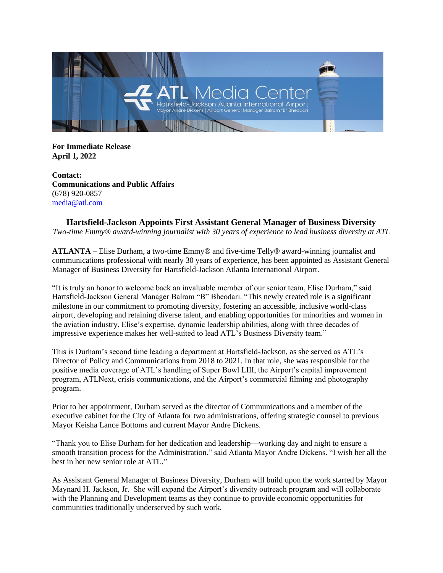

**For Immediate Release April 1, 2022** 

**Contact: Communications and Public Affairs**  (678) 920-0857 media@atl.com

**Hartsfield-Jackson Appoints First Assistant General Manager of Business Diversity** *Two-time Emmy® award-winning journalist with 30 years of experience to lead business diversity at ATL*

**ATLANTA –** Elise Durham, a two-time Emmy® and five-time Telly® award-winning journalist and communications professional with nearly 30 years of experience, has been appointed as Assistant General Manager of Business Diversity for Hartsfield-Jackson Atlanta International Airport.

"It is truly an honor to welcome back an invaluable member of our senior team, Elise Durham," said Hartsfield-Jackson General Manager Balram "B" Bheodari. "This newly created role is a significant milestone in our commitment to promoting diversity, fostering an accessible, inclusive world-class airport, developing and retaining diverse talent, and enabling opportunities for minorities and women in the aviation industry. Elise's expertise, dynamic leadership abilities, along with three decades of impressive experience makes her well-suited to lead ATL's Business Diversity team."

This is Durham's second time leading a department at Hartsfield-Jackson, as she served as ATL's Director of Policy and Communications from 2018 to 2021. In that role, she was responsible for the positive media coverage of ATL's handling of Super Bowl LIII, the Airport's capital improvement program, ATLNext, crisis communications, and the Airport's commercial filming and photography program.

Prior to her appointment, Durham served as the director of Communications and a member of the executive cabinet for the City of Atlanta for two administrations, offering strategic counsel to previous Mayor Keisha Lance Bottoms and current Mayor Andre Dickens.

"Thank you to Elise Durham for her dedication and leadership—working day and night to ensure a smooth transition process for the Administration," said Atlanta Mayor Andre Dickens. "I wish her all the best in her new senior role at ATL."

As Assistant General Manager of Business Diversity, Durham will build upon the work started by Mayor Maynard H. Jackson, Jr. She will expand the Airport's diversity outreach program and will collaborate with the Planning and Development teams as they continue to provide economic opportunities for communities traditionally underserved by such work.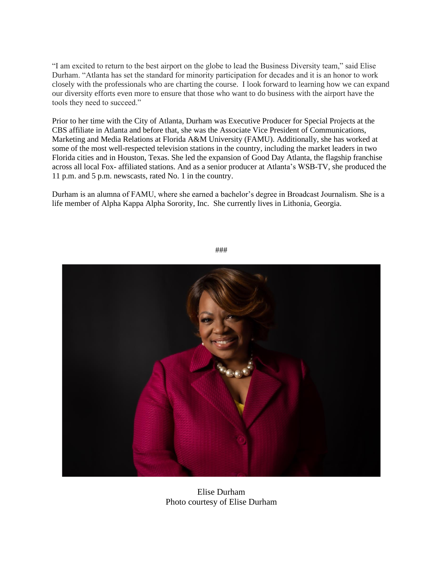"I am excited to return to the best airport on the globe to lead the Business Diversity team," said Elise Durham. "Atlanta has set the standard for minority participation for decades and it is an honor to work closely with the professionals who are charting the course. I look forward to learning how we can expand our diversity efforts even more to ensure that those who want to do business with the airport have the tools they need to succeed."

Prior to her time with the City of Atlanta, Durham was Executive Producer for Special Projects at the CBS affiliate in Atlanta and before that, she was the Associate Vice President of Communications, Marketing and Media Relations at Florida A&M University (FAMU). Additionally, she has worked at some of the most well-respected television stations in the country, including the market leaders in two Florida cities and in Houston, Texas. She led the expansion of Good Day Atlanta, the flagship franchise across all local Fox- affiliated stations. And as a senior producer at Atlanta's WSB-TV, she produced the 11 p.m. and 5 p.m. newscasts, rated No. 1 in the country.

Durham is an alumna of FAMU, where she earned a bachelor's degree in Broadcast Journalism. She is a life member of Alpha Kappa Alpha Sorority, Inc. She currently lives in Lithonia, Georgia.



###

Elise Durham Photo courtesy of Elise Durham